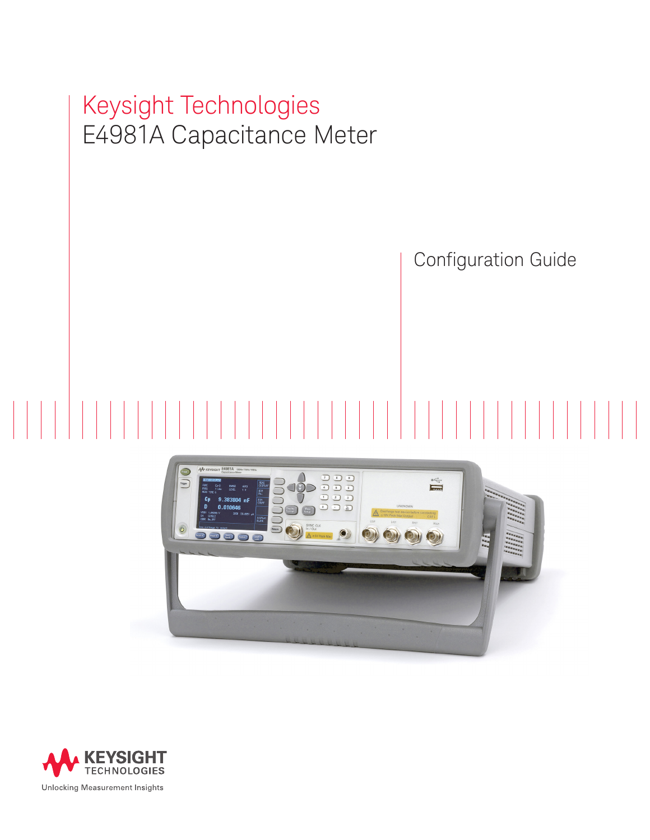# Keysight Technologies E4981A Capacitance Meter Configuration Guide



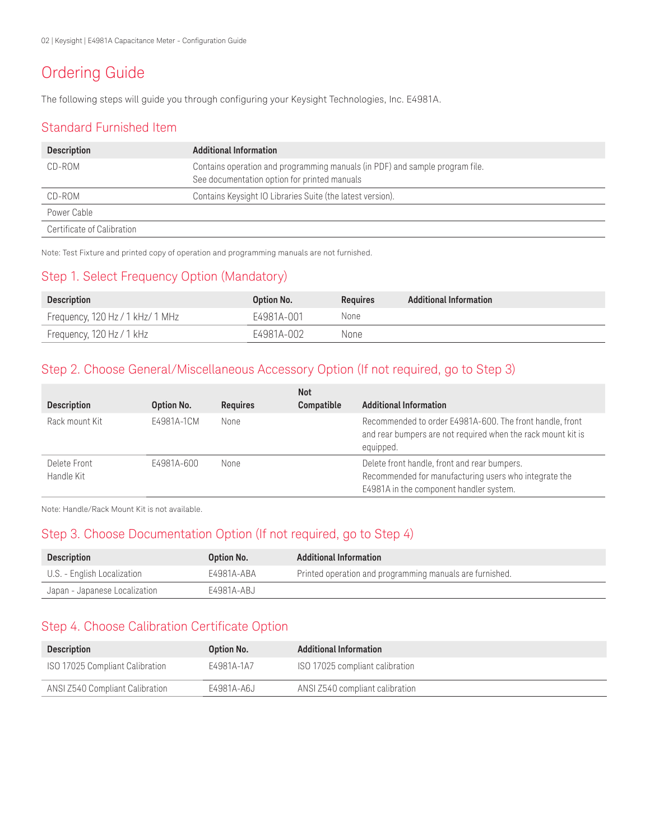# Ordering Guide

The following steps will guide you through configuring your Keysight Technologies, Inc. E4981A.

## Standard Furnished Item

| <b>Description</b>         | <b>Additional Information</b>                                                                                                |
|----------------------------|------------------------------------------------------------------------------------------------------------------------------|
| CD-ROM                     | Contains operation and programming manuals (in PDF) and sample program file.<br>See documentation option for printed manuals |
| CD-ROM                     | Contains Keysight IO Libraries Suite (the latest version).                                                                   |
| Power Cable                |                                                                                                                              |
| Certificate of Calibration |                                                                                                                              |

Note: Test Fixture and printed copy of operation and programming manuals are not furnished.

## Step 1. Select Frequency Option (Mandatory)

| <b>Description</b>               | <b>Option No.</b> | <b>Requires</b> | <b>Additional Information</b> |
|----------------------------------|-------------------|-----------------|-------------------------------|
| Frequency, 120 Hz / 1 kHz/ 1 MHz | E4981A-001        | None            |                               |
| Frequency, 120 Hz / 1 kHz        | E4981A-002        | None            |                               |

## Step 2. Choose General/Miscellaneous Accessory Option (If not required, go to Step 3)

| <b>Description</b>         | Option No. | <b>Requires</b> | <b>Not</b><br>Compatible | <b>Additional Information</b>                                                                                                                    |
|----------------------------|------------|-----------------|--------------------------|--------------------------------------------------------------------------------------------------------------------------------------------------|
| Rack mount Kit             | E4981A-1CM | None            |                          | Recommended to order E4981A-600. The front handle, front<br>and rear bumpers are not required when the rack mount kit is<br>equipped.            |
| Delete Front<br>Handle Kit | E4981A-600 | None            |                          | Delete front handle, front and rear bumpers.<br>Recommended for manufacturing users who integrate the<br>E4981A in the component handler system. |

Note: Handle/Rack Mount Kit is not available.

# Step 3. Choose Documentation Option (If not required, go to Step 4)

| <b>Description</b>            | <b>Option No.</b> | <b>Additional Information</b>                            |
|-------------------------------|-------------------|----------------------------------------------------------|
| U.S. - English Localization   | E4981A-ABA        | Printed operation and programming manuals are furnished. |
| Japan - Japanese Localization | E4981A-ABJ        |                                                          |

# Step 4. Choose Calibration Certificate Option

| <b>Description</b>              | <b>Option No.</b> | <b>Additional Information</b>   |
|---------------------------------|-------------------|---------------------------------|
| ISO 17025 Compliant Calibration | E4981A-1A7        | ISO 17025 compliant calibration |
| ANSI Z540 Compliant Calibration | E4981A-A6J        | ANSI Z540 compliant calibration |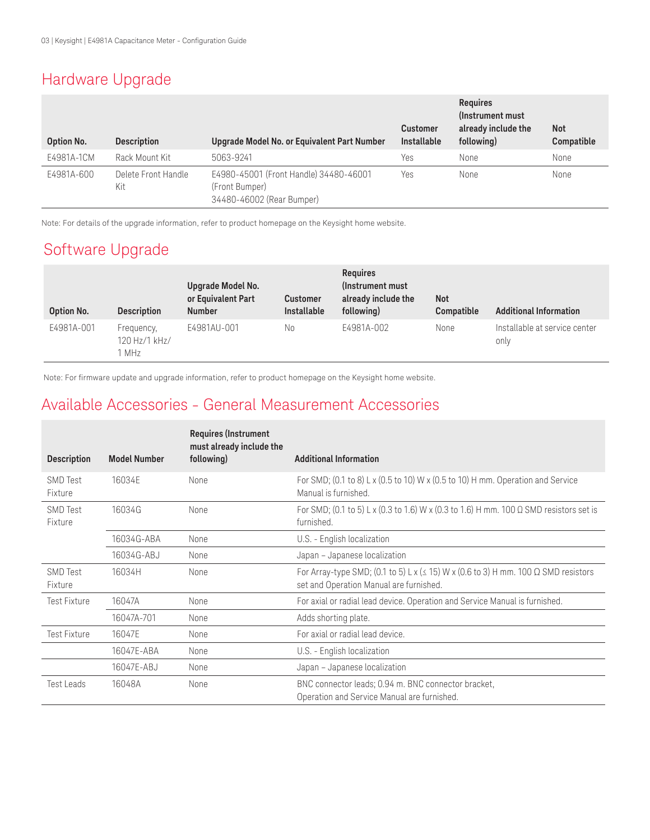# Hardware Upgrade

| Option No. | <b>Description</b>         | Upgrade Model No. or Equivalent Part Number                                           | <b>Customer</b><br><b>Installable</b> | <b>Requires</b><br>(Instrument must)<br>already include the<br>following) | <b>Not</b><br>Compatible |
|------------|----------------------------|---------------------------------------------------------------------------------------|---------------------------------------|---------------------------------------------------------------------------|--------------------------|
| E4981A-1CM | Rack Mount Kit             | 5063-9241                                                                             | Yes                                   | None                                                                      | None                     |
| E4981A-600 | Delete Front Handle<br>Kit | E4980-45001 (Front Handle) 34480-46001<br>(Front Bumper)<br>34480-46002 (Rear Bumper) | Yes                                   | None                                                                      | None                     |

Note: For details of the upgrade information, refer to product homepage on the Keysight home website.

# Software Upgrade

| <b>Option No.</b> | <b>Description</b>                   | Upgrade Model No.<br>or Equivalent Part<br><b>Number</b> | <b>Customer</b><br><b>Installable</b> | <b>Requires</b><br>(Instrument must)<br>already include the<br>following) | <b>Not</b><br>Compatible | <b>Additional Information</b>         |
|-------------------|--------------------------------------|----------------------------------------------------------|---------------------------------------|---------------------------------------------------------------------------|--------------------------|---------------------------------------|
| E4981A-001        | Frequency,<br>120 Hz/1 kHz/<br>1 MHz | E4981AU-001                                              | No                                    | E4981A-002                                                                | None                     | Installable at service center<br>only |

Note: For firmware update and upgrade information, refer to product homepage on the Keysight home website.

# Available Accessories - General Measurement Accessories

| <b>Description</b>         | <b>Model Number</b> | <b>Requires (Instrument</b><br>must already include the<br>following) | <b>Additional Information</b>                                                                                                              |
|----------------------------|---------------------|-----------------------------------------------------------------------|--------------------------------------------------------------------------------------------------------------------------------------------|
| <b>SMD Test</b><br>Fixture | 16034E              | None                                                                  | For SMD; (0.1 to 8) L x (0.5 to 10) W x (0.5 to 10) H mm. Operation and Service<br>Manual is furnished.                                    |
| <b>SMD Test</b><br>Fixture | 16034G              | None                                                                  | For SMD; (0.1 to 5) L x (0.3 to 1.6) W x (0.3 to 1.6) H mm. 100 $\Omega$ SMD resistors set is<br>furnished.                                |
|                            | 16034G-ABA          | None                                                                  | U.S. - English localization                                                                                                                |
|                            | 16034G-ABJ          | None                                                                  | Japan - Japanese localization                                                                                                              |
| <b>SMD Test</b><br>Fixture | 16034H              | None                                                                  | For Array-type SMD; (0.1 to 5) L x ( $\leq$ 15) W x (0.6 to 3) H mm. 100 $\Omega$ SMD resistors<br>set and Operation Manual are furnished. |
| <b>Test Fixture</b>        | 16047A              | None                                                                  | For axial or radial lead device. Operation and Service Manual is furnished.                                                                |
|                            | 16047A-701          | None                                                                  | Adds shorting plate.                                                                                                                       |
| Test Fixture               | 16047E              | None                                                                  | For axial or radial lead device.                                                                                                           |
|                            | 16047E-ABA          | None                                                                  | U.S. - English localization                                                                                                                |
|                            | 16047E-ABJ          | None                                                                  | Japan - Japanese localization                                                                                                              |
| Test Leads                 | 16048A              | None                                                                  | BNC connector leads; 0.94 m. BNC connector bracket,<br>Operation and Service Manual are furnished.                                         |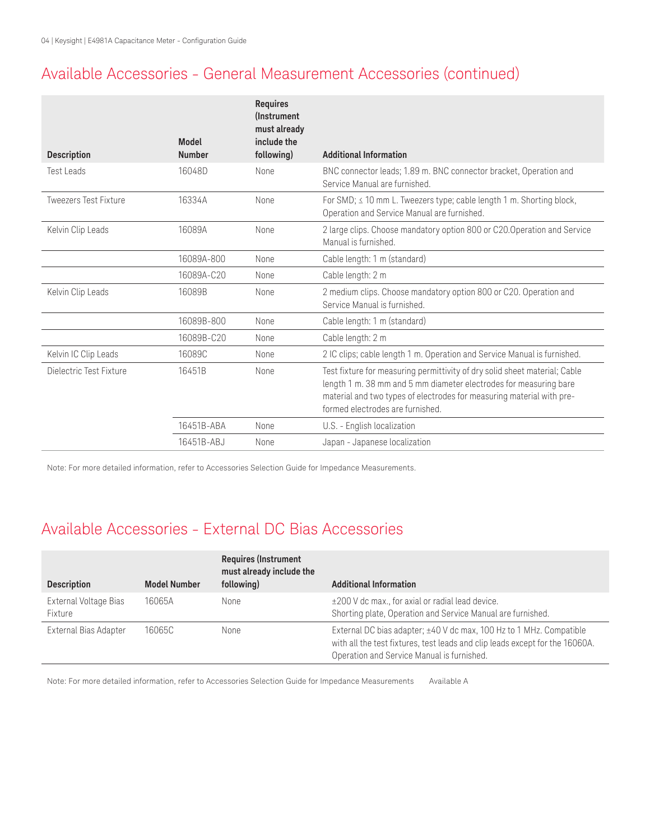# Available Accessories - General Measurement Accessories (continued)

| <b>Description</b>           | <b>Model</b><br><b>Number</b> | <b>Requires</b><br><i>(Instrument)</i><br>must already<br>include the<br>following) | <b>Additional Information</b>                                                                                                                                                                                                                                |
|------------------------------|-------------------------------|-------------------------------------------------------------------------------------|--------------------------------------------------------------------------------------------------------------------------------------------------------------------------------------------------------------------------------------------------------------|
| Test Leads                   | 16048D                        | None                                                                                | BNC connector leads; 1.89 m. BNC connector bracket, Operation and<br>Service Manual are furnished.                                                                                                                                                           |
| <b>Tweezers Test Fixture</b> | 16334A                        | None                                                                                | For SMD; ≤ 10 mm L. Tweezers type; cable length 1 m. Shorting block,<br>Operation and Service Manual are furnished.                                                                                                                                          |
| Kelvin Clip Leads            | 16089A                        | None                                                                                | 2 large clips. Choose mandatory option 800 or C20.Operation and Service<br>Manual is furnished.                                                                                                                                                              |
|                              | 16089A-800                    | None                                                                                | Cable length: 1 m (standard)                                                                                                                                                                                                                                 |
|                              | 16089A-C20                    | None                                                                                | Cable length: 2 m                                                                                                                                                                                                                                            |
| Kelvin Clip Leads            | 16089B                        | None                                                                                | 2 medium clips. Choose mandatory option 800 or C20. Operation and<br>Service Manual is furnished.                                                                                                                                                            |
|                              | 16089B-800                    | None                                                                                | Cable length: 1 m (standard)                                                                                                                                                                                                                                 |
|                              | 16089B-C20                    | None                                                                                | Cable length: 2 m                                                                                                                                                                                                                                            |
| Kelvin IC Clip Leads         | 16089C                        | None                                                                                | 2 IC clips; cable length 1 m. Operation and Service Manual is furnished.                                                                                                                                                                                     |
| Dielectric Test Fixture      | 16451B                        | None                                                                                | Test fixture for measuring permittivity of dry solid sheet material; Cable<br>length 1 m. 38 mm and 5 mm diameter electrodes for measuring bare<br>material and two types of electrodes for measuring material with pre-<br>formed electrodes are furnished. |
|                              | 16451B-ABA                    | None                                                                                | U.S. - English localization                                                                                                                                                                                                                                  |
|                              | 16451B-ABJ                    | None                                                                                | Japan - Japanese localization                                                                                                                                                                                                                                |

Note: For more detailed information, refer to Accessories Selection Guide for Impedance Measurements.

# Available Accessories - External DC Bias Accessories

| <b>Description</b>               | <b>Model Number</b> | <b>Requires (Instrument</b><br>must already include the<br>following) | <b>Additional Information</b>                                                                                                                                                                     |
|----------------------------------|---------------------|-----------------------------------------------------------------------|---------------------------------------------------------------------------------------------------------------------------------------------------------------------------------------------------|
| External Voltage Bias<br>Fixture | 16065A              | None                                                                  | ±200 V dc max., for axial or radial lead device.<br>Shorting plate, Operation and Service Manual are furnished.                                                                                   |
| External Bias Adapter            | 16065C              | None                                                                  | External DC bias adapter; ±40 V dc max, 100 Hz to 1 MHz. Compatible<br>with all the test fixtures, test leads and clip leads except for the 16060A.<br>Operation and Service Manual is furnished. |

Note: For more detailed information, refer to Accessories Selection Guide for Impedance Measurements Available A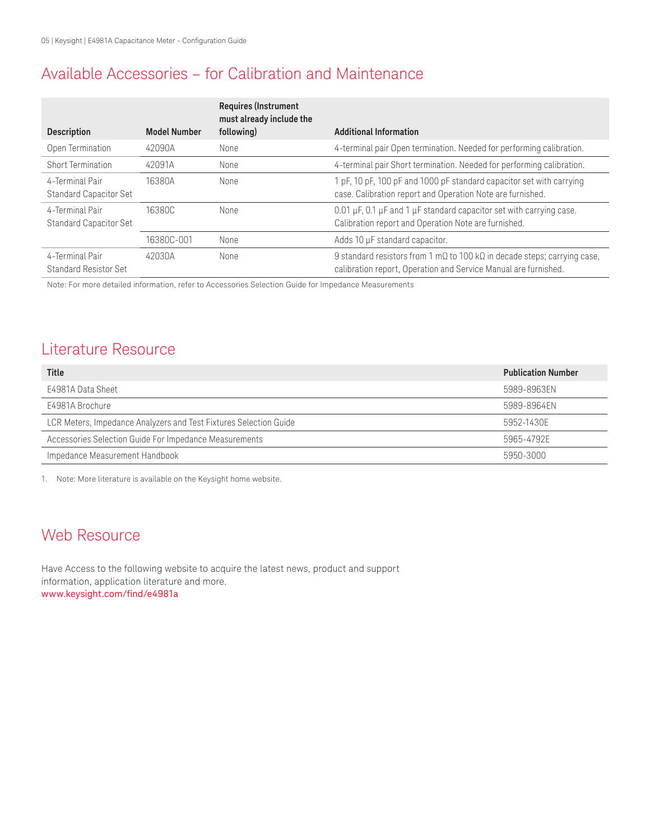# Available Accessories – for Calibration and Maintenance

| <b>Description</b>                               | <b>Model Number</b> | <b>Requires (Instrument</b><br>must already include the<br>following) | <b>Additional Information</b>                                                                                                                               |
|--------------------------------------------------|---------------------|-----------------------------------------------------------------------|-------------------------------------------------------------------------------------------------------------------------------------------------------------|
| Open Termination                                 | 42090A              | None                                                                  | 4-terminal pair Open termination. Needed for performing calibration.                                                                                        |
| Short Termination                                | 42091A              | None                                                                  | 4-terminal pair Short termination. Needed for performing calibration.                                                                                       |
| 4-Terminal Pair<br><b>Standard Capacitor Set</b> | 16380A              | None                                                                  | 1 pF, 10 pF, 100 pF and 1000 pF standard capacitor set with carrying<br>case. Calibration report and Operation Note are furnished.                          |
| 4-Terminal Pair<br><b>Standard Capacitor Set</b> | 16380C              | None                                                                  | 0.01 $\mu$ F, 0.1 $\mu$ F and 1 $\mu$ F standard capacitor set with carrying case.<br>Calibration report and Operation Note are furnished.                  |
|                                                  | 16380C-001          | None                                                                  | Adds 10 µF standard capacitor.                                                                                                                              |
| 4-Terminal Pair<br><b>Standard Resistor Set</b>  | 42030A              | None                                                                  | 9 standard resistors from 1 m $\Omega$ to 100 k $\Omega$ in decade steps; carrying case,<br>calibration report, Operation and Service Manual are furnished. |

Note: For more detailed information, refer to Accessories Selection Guide for Impedance Measurements

# Literature Resource

| <b>Title</b>                                                      | <b>Publication Number</b> |
|-------------------------------------------------------------------|---------------------------|
| <b>E4981A Data Sheet</b>                                          | 5989-8963EN               |
| E4981A Brochure                                                   | 5989-8964EN               |
| LCR Meters, Impedance Analyzers and Test Fixtures Selection Guide | 5952-1430E                |
| Accessories Selection Guide For Impedance Measurements            | 5965-4792E                |
| Impedance Measurement Handbook                                    | 5950-3000                 |

1. Note: More literature is available on the Keysight home website.

# Web Resource

Have Access to the following website to acquire the latest news, product and support information, application literature and more. [www.keysight.com/find/e4981a](http://www.keysight.com/find/e4981a)